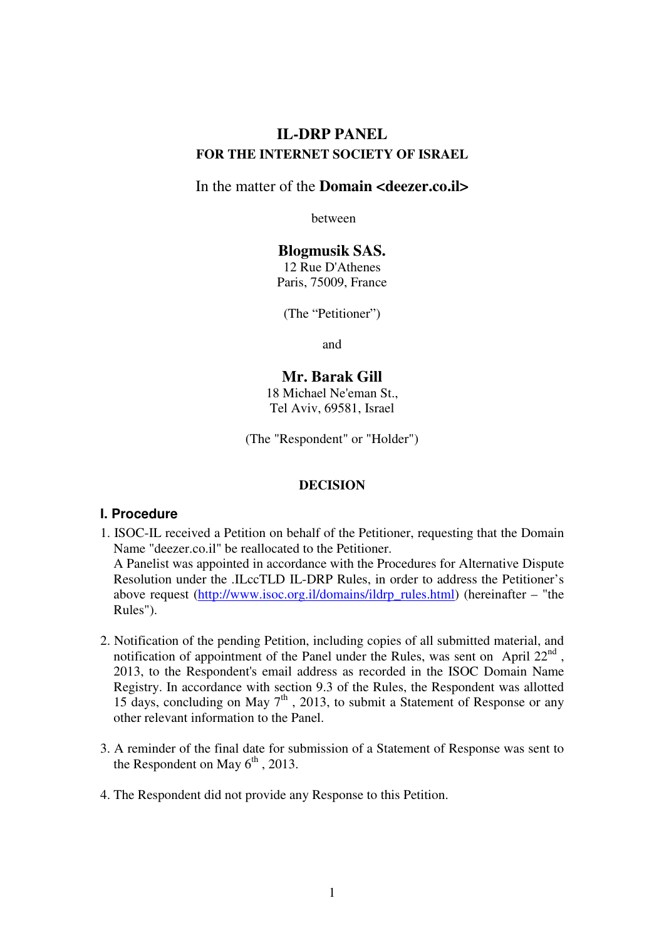# **IL-DRP PANEL FOR THE INTERNET SOCIETY OF ISRAEL**

## In the matter of the **Domain <deezer.co.il>**

between

# **Blogmusik SAS.**

12 Rue D'Athenes Paris, 75009, France

(The "Petitioner")

and

# **Mr. Barak Gill**

18 Michael Ne'eman St., Tel Aviv, 69581, Israel

(The "Respondent" or "Holder")

### **DECISION**

### **I. Procedure**

Rules").

- 1. ISOC-IL received a Petition on behalf of the Petitioner, requesting that the Domain Name "deezer.co.il" be reallocated to the Petitioner. A Panelist was appointed in accordance with the Procedures for Alternative Dispute Resolution under the .ILccTLD IL-DRP Rules, in order to address the Petitioner's above request (http://www.isoc.org.il/domains/ildrp\_rules.html) (hereinafter – "the
- 2. Notification of the pending Petition, including copies of all submitted material, and notification of appointment of the Panel under the Rules, was sent on April  $22^{nd}$ , 2013, to the Respondent's email address as recorded in the ISOC Domain Name Registry. In accordance with section 9.3 of the Rules, the Respondent was allotted 15 days, concluding on May  $7<sup>th</sup>$ , 2013, to submit a Statement of Response or any other relevant information to the Panel.
- 3. A reminder of the final date for submission of a Statement of Response was sent to the Respondent on May  $6<sup>th</sup>$ , 2013.
- 4. The Respondent did not provide any Response to this Petition.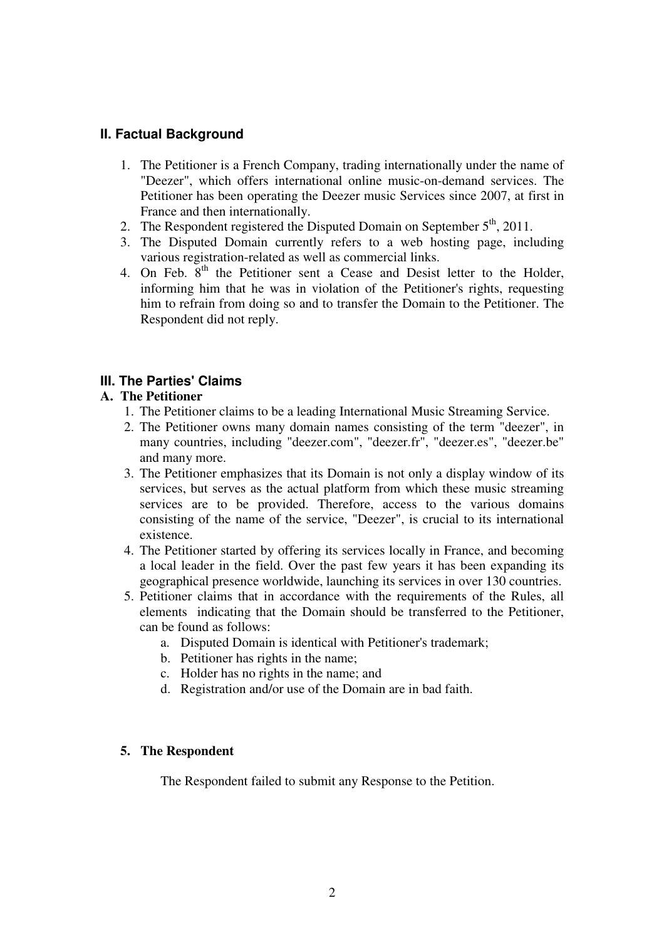## **II. Factual Background**

- 1. The Petitioner is a French Company, trading internationally under the name of "Deezer", which offers international online music-on-demand services. The Petitioner has been operating the Deezer music Services since 2007, at first in France and then internationally.
- 2. The Respondent registered the Disputed Domain on September  $5<sup>th</sup>$ , 2011.
- 3. The Disputed Domain currently refers to a web hosting page, including various registration-related as well as commercial links.
- 4. On Feb.  $8<sup>th</sup>$  the Petitioner sent a Cease and Desist letter to the Holder, informing him that he was in violation of the Petitioner's rights, requesting him to refrain from doing so and to transfer the Domain to the Petitioner. The Respondent did not reply.

## **III. The Parties' Claims**

## **A. The Petitioner**

- 1. The Petitioner claims to be a leading International Music Streaming Service.
- 2. The Petitioner owns many domain names consisting of the term "deezer", in many countries, including "deezer.com", "deezer.fr", "deezer.es", "deezer.be" and many more.
- 3. The Petitioner emphasizes that its Domain is not only a display window of its services, but serves as the actual platform from which these music streaming services are to be provided. Therefore, access to the various domains consisting of the name of the service, "Deezer", is crucial to its international existence.
- 4. The Petitioner started by offering its services locally in France, and becoming a local leader in the field. Over the past few years it has been expanding its geographical presence worldwide, launching its services in over 130 countries.
- 5. Petitioner claims that in accordance with the requirements of the Rules, all elements indicating that the Domain should be transferred to the Petitioner, can be found as follows:
	- a. Disputed Domain is identical with Petitioner's trademark;
	- b. Petitioner has rights in the name;
	- c. Holder has no rights in the name; and
	- d. Registration and/or use of the Domain are in bad faith.

## **5. The Respondent**

The Respondent failed to submit any Response to the Petition.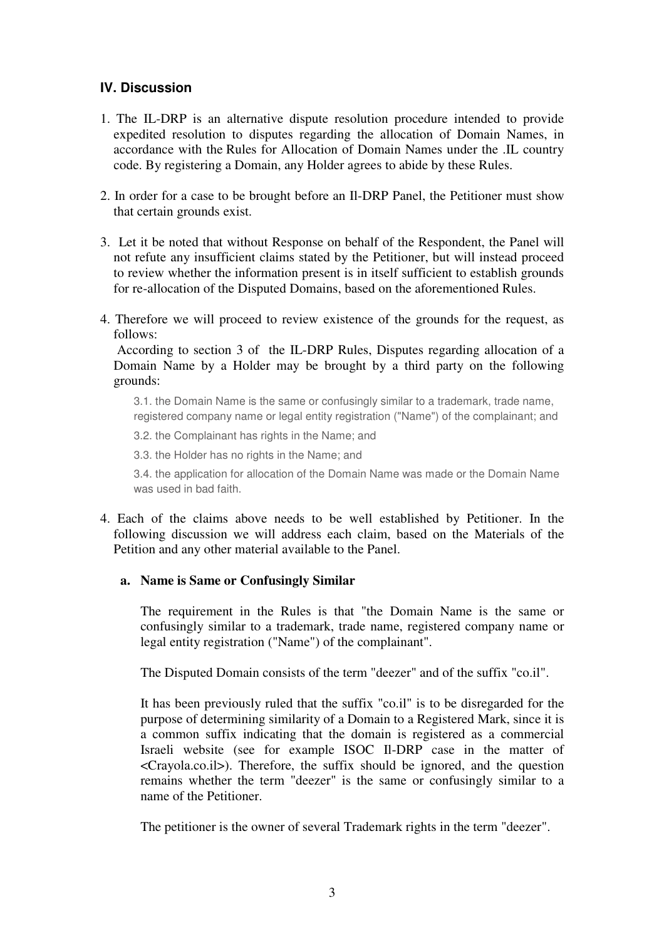## **IV. Discussion**

- 1. The IL-DRP is an alternative dispute resolution procedure intended to provide expedited resolution to disputes regarding the allocation of Domain Names, in accordance with the Rules for Allocation of Domain Names under the .IL country code. By registering a Domain, any Holder agrees to abide by these Rules.
- 2. In order for a case to be brought before an Il-DRP Panel, the Petitioner must show that certain grounds exist.
- 3. Let it be noted that without Response on behalf of the Respondent, the Panel will not refute any insufficient claims stated by the Petitioner, but will instead proceed to review whether the information present is in itself sufficient to establish grounds for re-allocation of the Disputed Domains, based on the aforementioned Rules.
- 4. Therefore we will proceed to review existence of the grounds for the request, as follows:

 According to section 3 of the IL-DRP Rules, Disputes regarding allocation of a Domain Name by a Holder may be brought by a third party on the following grounds:

3.1. the Domain Name is the same or confusingly similar to a trademark, trade name, registered company name or legal entity registration ("Name") of the complainant; and

3.2. the Complainant has rights in the Name; and

3.3. the Holder has no rights in the Name; and

3.4. the application for allocation of the Domain Name was made or the Domain Name was used in bad faith.

4. Each of the claims above needs to be well established by Petitioner. In the following discussion we will address each claim, based on the Materials of the Petition and any other material available to the Panel.

### **a. Name is Same or Confusingly Similar**

The requirement in the Rules is that "the Domain Name is the same or confusingly similar to a trademark, trade name, registered company name or legal entity registration ("Name") of the complainant".

The Disputed Domain consists of the term "deezer" and of the suffix "co.il".

It has been previously ruled that the suffix "co.il" is to be disregarded for the purpose of determining similarity of a Domain to a Registered Mark, since it is a common suffix indicating that the domain is registered as a commercial Israeli website (see for example ISOC Il-DRP case in the matter of <Crayola.co.il>). Therefore, the suffix should be ignored, and the question remains whether the term "deezer" is the same or confusingly similar to a name of the Petitioner.

The petitioner is the owner of several Trademark rights in the term "deezer".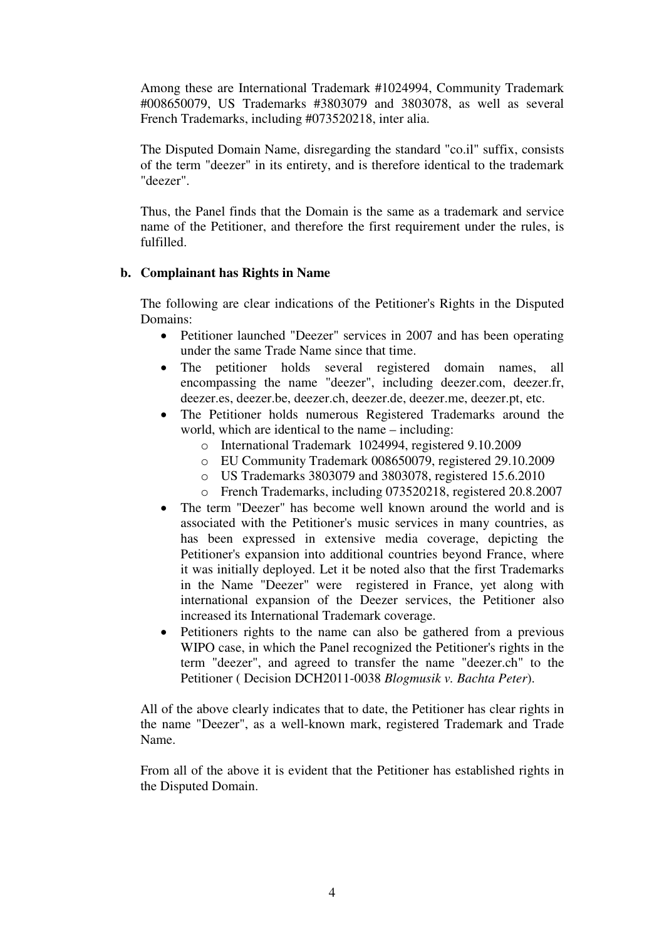Among these are International Trademark #1024994, Community Trademark #008650079, US Trademarks #3803079 and 3803078, as well as several French Trademarks, including #073520218, inter alia.

The Disputed Domain Name, disregarding the standard "co.il" suffix, consists of the term "deezer" in its entirety, and is therefore identical to the trademark "deezer".

Thus, the Panel finds that the Domain is the same as a trademark and service name of the Petitioner, and therefore the first requirement under the rules, is fulfilled.

### **b. Complainant has Rights in Name**

The following are clear indications of the Petitioner's Rights in the Disputed Domains:

- Petitioner launched "Deezer" services in 2007 and has been operating under the same Trade Name since that time.
- The petitioner holds several registered domain names, all encompassing the name "deezer", including deezer.com, deezer.fr, deezer.es, deezer.be, deezer.ch, deezer.de, deezer.me, deezer.pt, etc.
- The Petitioner holds numerous Registered Trademarks around the world, which are identical to the name – including:
	- o International Trademark 1024994, registered 9.10.2009
	- o EU Community Trademark 008650079, registered 29.10.2009
	- o US Trademarks 3803079 and 3803078, registered 15.6.2010
	- o French Trademarks, including 073520218, registered 20.8.2007
- The term "Deezer" has become well known around the world and is associated with the Petitioner's music services in many countries, as has been expressed in extensive media coverage, depicting the Petitioner's expansion into additional countries beyond France, where it was initially deployed. Let it be noted also that the first Trademarks in the Name "Deezer" were registered in France, yet along with international expansion of the Deezer services, the Petitioner also increased its International Trademark coverage.
- Petitioners rights to the name can also be gathered from a previous WIPO case, in which the Panel recognized the Petitioner's rights in the term "deezer", and agreed to transfer the name "deezer.ch" to the Petitioner ( Decision DCH2011-0038 *Blogmusik v. Bachta Peter*).

All of the above clearly indicates that to date, the Petitioner has clear rights in the name "Deezer", as a well-known mark, registered Trademark and Trade Name.

From all of the above it is evident that the Petitioner has established rights in the Disputed Domain.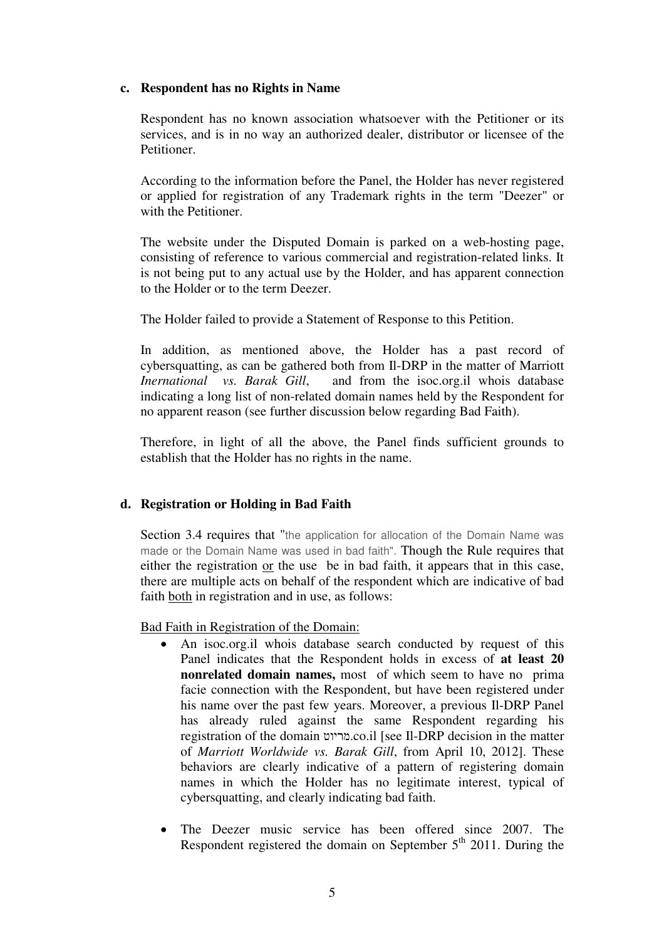### **c. Respondent has no Rights in Name**

Respondent has no known association whatsoever with the Petitioner or its services, and is in no way an authorized dealer, distributor or licensee of the Petitioner.

According to the information before the Panel, the Holder has never registered or applied for registration of any Trademark rights in the term "Deezer" or with the Petitioner.

The website under the Disputed Domain is parked on a web-hosting page, consisting of reference to various commercial and registration-related links. It is not being put to any actual use by the Holder, and has apparent connection to the Holder or to the term Deezer.

The Holder failed to provide a Statement of Response to this Petition.

In addition, as mentioned above, the Holder has a past record of cybersquatting, as can be gathered both from Il-DRP in the matter of Marriott *Inernational vs. Barak Gill*, and from the isoc.org.il whois database indicating a long list of non-related domain names held by the Respondent for no apparent reason (see further discussion below regarding Bad Faith).

Therefore, in light of all the above, the Panel finds sufficient grounds to establish that the Holder has no rights in the name.

### **d. Registration or Holding in Bad Faith**

Section 3.4 requires that "the application for allocation of the Domain Name was made or the Domain Name was used in bad faith". Though the Rule requires that either the registration or the use be in bad faith, it appears that in this case, there are multiple acts on behalf of the respondent which are indicative of bad faith both in registration and in use, as follows:

Bad Faith in Registration of the Domain:

- An isoc.org.il whois database search conducted by request of this Panel indicates that the Respondent holds in excess of **at least 20 nonrelated domain names,** most of which seem to have no prima facie connection with the Respondent, but have been registered under his name over the past few years. Moreover, a previous Il-DRP Panel has already ruled against the same Respondent regarding his registration of the domain מריוט.co.il [see Il-DRP decision in the matter of *Marriott Worldwide vs. Barak Gill*, from April 10, 2012]. These behaviors are clearly indicative of a pattern of registering domain names in which the Holder has no legitimate interest, typical of cybersquatting, and clearly indicating bad faith.
- The Deezer music service has been offered since 2007. The Respondent registered the domain on September  $5<sup>th</sup>$  2011. During the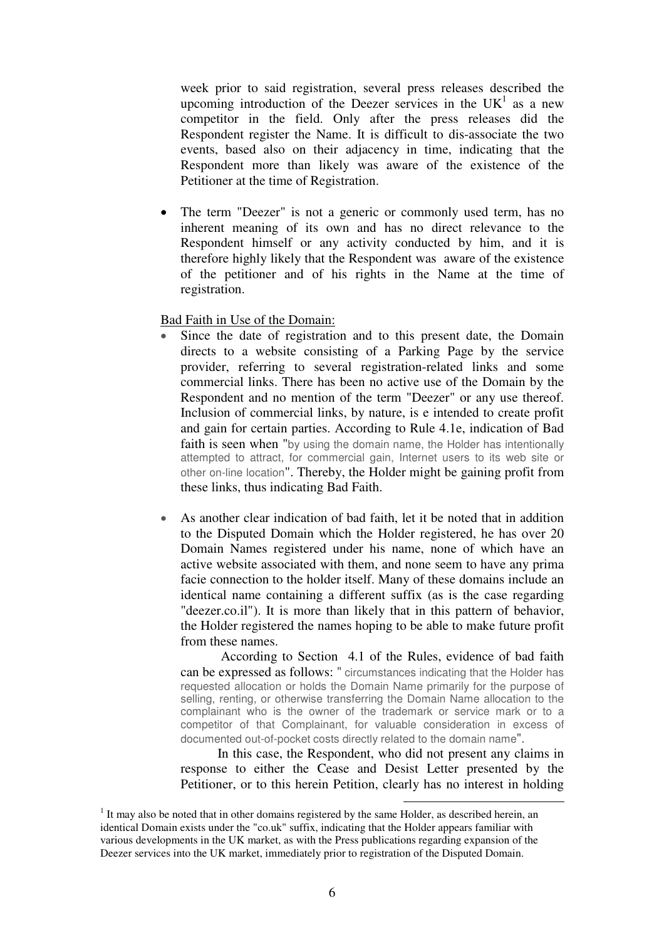week prior to said registration, several press releases described the upcoming introduction of the Deezer services in the  $UK<sup>1</sup>$  as a new competitor in the field. Only after the press releases did the Respondent register the Name. It is difficult to dis-associate the two events, based also on their adjacency in time, indicating that the Respondent more than likely was aware of the existence of the Petitioner at the time of Registration.

The term "Deezer" is not a generic or commonly used term, has no inherent meaning of its own and has no direct relevance to the Respondent himself or any activity conducted by him, and it is therefore highly likely that the Respondent was aware of the existence of the petitioner and of his rights in the Name at the time of registration.

Bad Faith in Use of the Domain:

- Since the date of registration and to this present date, the Domain directs to a website consisting of a Parking Page by the service provider, referring to several registration-related links and some commercial links. There has been no active use of the Domain by the Respondent and no mention of the term "Deezer" or any use thereof. Inclusion of commercial links, by nature, is e intended to create profit and gain for certain parties. According to Rule 4.1e, indication of Bad faith is seen when "by using the domain name, the Holder has intentionally attempted to attract, for commercial gain, Internet users to its web site or other on-line location". Thereby, the Holder might be gaining profit from these links, thus indicating Bad Faith.
- As another clear indication of bad faith, let it be noted that in addition to the Disputed Domain which the Holder registered, he has over 20 Domain Names registered under his name, none of which have an active website associated with them, and none seem to have any prima facie connection to the holder itself. Many of these domains include an identical name containing a different suffix (as is the case regarding "deezer.co.il"). It is more than likely that in this pattern of behavior, the Holder registered the names hoping to be able to make future profit from these names.

According to Section 4.1 of the Rules, evidence of bad faith can be expressed as follows: " circumstances indicating that the Holder has requested allocation or holds the Domain Name primarily for the purpose of selling, renting, or otherwise transferring the Domain Name allocation to the complainant who is the owner of the trademark or service mark or to a competitor of that Complainant, for valuable consideration in excess of documented out-of-pocket costs directly related to the domain name".

 In this case, the Respondent, who did not present any claims in response to either the Cease and Desist Letter presented by the Petitioner, or to this herein Petition, clearly has no interest in holding

 $\overline{a}$ 

 $<sup>1</sup>$  It may also be noted that in other domains registered by the same Holder, as described herein, an</sup> identical Domain exists under the "co.uk" suffix, indicating that the Holder appears familiar with various developments in the UK market, as with the Press publications regarding expansion of the Deezer services into the UK market, immediately prior to registration of the Disputed Domain.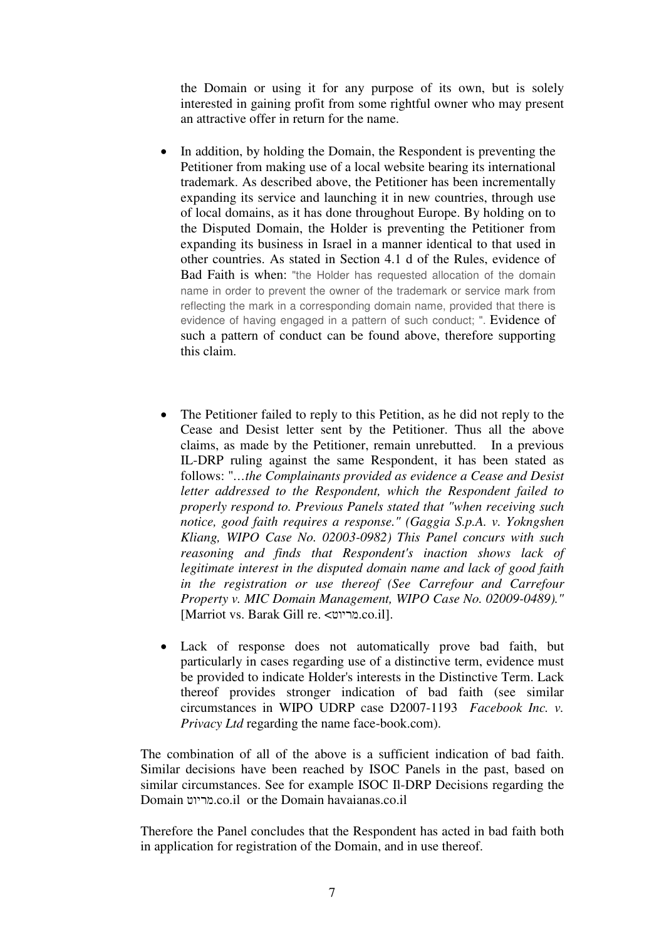the Domain or using it for any purpose of its own, but is solely interested in gaining profit from some rightful owner who may present an attractive offer in return for the name.

- In addition, by holding the Domain, the Respondent is preventing the Petitioner from making use of a local website bearing its international trademark. As described above, the Petitioner has been incrementally expanding its service and launching it in new countries, through use of local domains, as it has done throughout Europe. By holding on to the Disputed Domain, the Holder is preventing the Petitioner from expanding its business in Israel in a manner identical to that used in other countries. As stated in Section 4.1 d of the Rules, evidence of Bad Faith is when: "the Holder has requested allocation of the domain name in order to prevent the owner of the trademark or service mark from reflecting the mark in a corresponding domain name, provided that there is evidence of having engaged in a pattern of such conduct; ". Evidence of such a pattern of conduct can be found above, therefore supporting this claim.
- The Petitioner failed to reply to this Petition, as he did not reply to the Cease and Desist letter sent by the Petitioner. Thus all the above claims, as made by the Petitioner, remain unrebutted. In a previous IL-DRP ruling against the same Respondent, it has been stated as follows: "*…the Complainants provided as evidence a Cease and Desist letter addressed to the Respondent, which the Respondent failed to properly respond to. Previous Panels stated that "when receiving such notice, good faith requires a response." (Gaggia S.p.A. v. Yokngshen Kliang, WIPO Case No. 02003-0982) This Panel concurs with such reasoning and finds that Respondent's inaction shows lack of legitimate interest in the disputed domain name and lack of good faith in the registration or use thereof (See Carrefour and Carrefour Property v. MIC Domain Management, WIPO Case No. 02009-0489)."* [Marriot vs. Barak Gill re. <מריוט.co.il].
- Lack of response does not automatically prove bad faith, but particularly in cases regarding use of a distinctive term, evidence must be provided to indicate Holder's interests in the Distinctive Term. Lack thereof provides stronger indication of bad faith (see similar circumstances in WIPO UDRP case D2007-1193 *Facebook Inc. v. Privacy Ltd* regarding the name face-book.com).

The combination of all of the above is a sufficient indication of bad faith. Similar decisions have been reached by ISOC Panels in the past, based on similar circumstances. See for example ISOC Il-DRP Decisions regarding the Domain מריוט.co.il or the Domain havaianas.co.il

Therefore the Panel concludes that the Respondent has acted in bad faith both in application for registration of the Domain, and in use thereof.